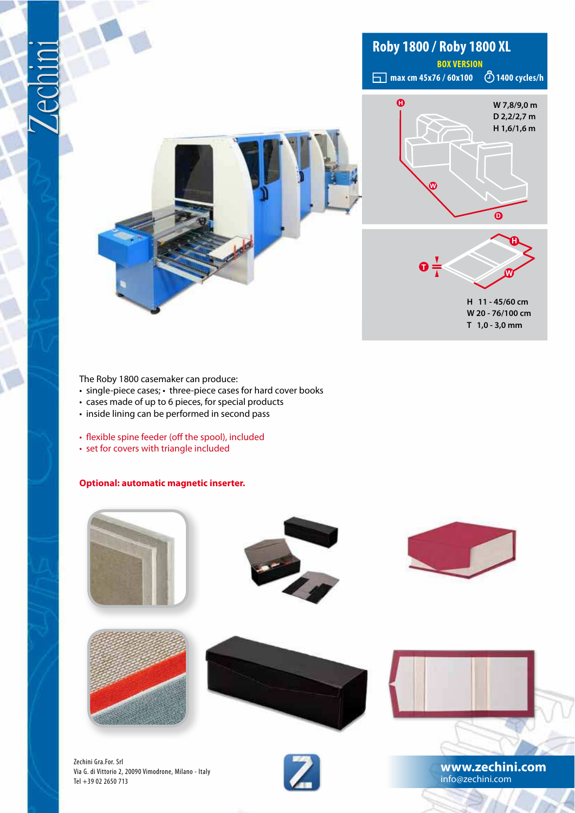

The Roby 1800 casemaker can produce:

- single-piece cases; three-piece cases for hard cover books
- cases made of up to 6 pieces, for special products
- $\cdot$  inside lining can be performed in second pass
- flexible spine feeder (off the spool), included
- set for covers with triangle included

#### **Optional: automatic magnetic inserter.**



Via G. di Vittorio 2, 20090 Vimodrone, Milano - Italy Tel +39 02 2650 713



**www.zechini.com** info@zechini.com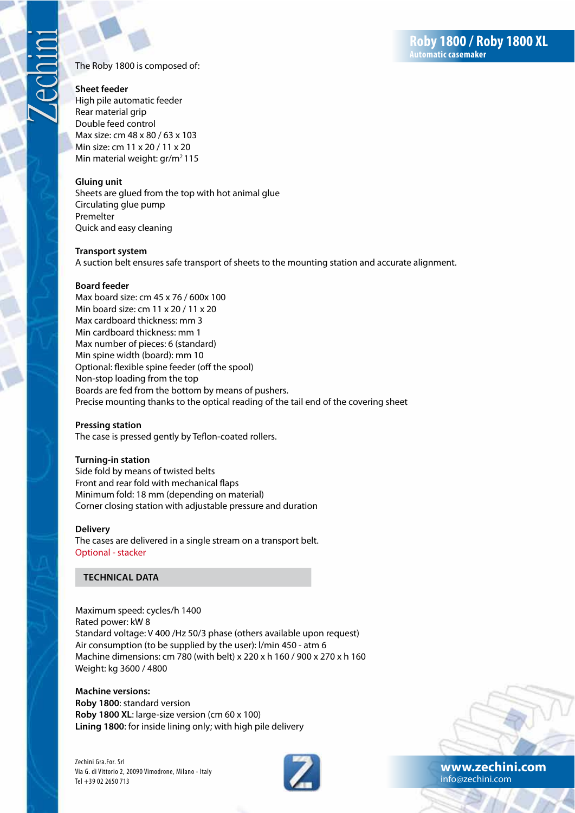The Roby 1800 is composed of:

#### **Sheet feeder**

High pile automatic feeder Rear material grip Double feed control Max size: cm 48 x 80 / 63 x 103 Min size: cm 11 x 20 / 11 x 20 Min material weight: gr/m<sup>2</sup>115

#### **Gluing unit**

Sheets are glued from the top with hot animal glue Circulating glue pump Premelter Ouick and easy cleaning

#### **Transport system**

A suction belt ensures safe transport of sheets to the mounting station and accurate alignment.

#### **Board feeder**

Max board size: cm 45 x 76 / 600x 100 Min board size: cm 11 x 20 / 11 x 20 Max cardboard thickness: mm 3 Min cardboard thickness: mm 1 Max number of pieces: 6 (standard) Min spine width (board): mm 10 Optional: flexible spine feeder (off the spool) Non-stop loading from the top Boards are fed from the bottom by means of pushers. Precise mounting thanks to the optical reading of the tail end of the covering sheet

#### **Pressing station**

The case is pressed gently by Teflon-coated rollers.

### **Turning-in station**

Side fold by means of twisted belts Front and rear fold with mechanical flaps Minimum fold: 18 mm (depending on material) Corner closing station with adjustable pressure and duration

#### **Delivery**

The cases are delivered in a single stream on a transport belt. Optional - stacker

### **TECHNICAL DATA**

Maximum speed: cycles/h 1400 Rated power: kW 8 Standard voltage: V 400 /Hz 50/3 phase (others available upon request) Air consumption (to be supplied by the user): I/min 450 - atm 6 Machine dimensions: cm 780 (with belt) x 220 x h 160 / 900 x 270 x h 160 Weight: kg 3600 / 4800

**Machine versions:** Roby 1800: standard version Roby 1800 XL: large-size version (cm 60 x 100) Lining 1800: for inside lining only; with high pile delivery

Zechini Gra.For. Srl Via G. di Vittorio 2, 20090 Vimodrone, Milano - Italy Tel +39 02 2650 713





www.zechini.com info@zechini.com